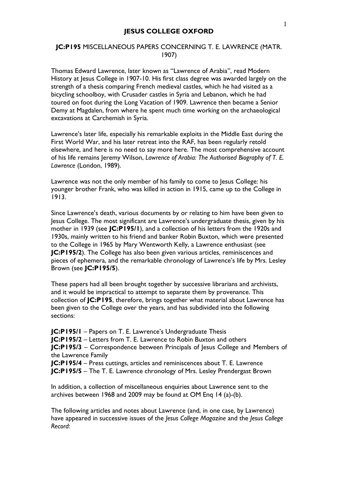## **JC:P195** MISCELLANEOUS PAPERS CONCERNING T. E. LAWRENCE (MATR. 1907)

Thomas Edward Lawrence, later known as "Lawrence of Arabia", read Modern History at Jesus College in 1907-10. His first class degree was awarded largely on the strength of a thesis comparing French medieval castles, which he had visited as a bicycling schoolboy, with Crusader castles in Syria and Lebanon, which he had toured on foot during the Long Vacation of 1909. Lawrence then became a Senior Demy at Magdalen, from where he spent much time working on the archaeological excavations at Carchemish in Syria.

Lawrence's later life, especially his remarkable exploits in the Middle East during the First World War, and his later retreat into the RAF, has been regularly retold elsewhere, and here is no need to say more here. The most comprehensive account of his life remains Jeremy Wilson, *Lawrence of Arabia: The Authorised Biography of T. E. Lawrence* (London, 1989).

Lawrence was not the only member of his family to come to Jesus College: his younger brother Frank, who was killed in action in 1915, came up to the College in 1913.

Since Lawrence's death, various documents by or relating to him have been given to Jesus College. The most significant are Lawrence's undergraduate thesis, given by his mother in 1939 (see **JC:P195/1**), and a collection of his letters from the 1920s and 1930s, mainly written to his friend and banker Robin Buxton, which were presented to the College in 1965 by Mary Wentworth Kelly, a Lawrence enthusiast (see **JC:P195/2**). The College has also been given various articles, reminiscences and pieces of ephemera, and the remarkable chronology of Lawrence's life by Mrs. Lesley Brown (see **JC:P195/5**).

These papers had all been brought together by successive librarians and archivists, and it would be impractical to attempt to separate them by provenance. This collection of **JC:P195**, therefore, brings together what material about Lawrence has been given to the College over the years, and has subdivided into the following sections:

**JC:P195/1** – Papers on T. E. Lawrence's Undergraduate Thesis

**JC:P195/2** – Letters from T. E. Lawrence to Robin Buxton and others

**JC:P195/3** – Correspondence between Principals of Jesus College and Members of the Lawrence Family

**JC:P195/4** – Press cuttings, articles and reminiscences about T. E. Lawrence **JC:P195/5** – The T. E. Lawrence chronology of Mrs. Lesley Prendergast Brown

In addition, a collection of miscellaneous enquiries about Lawrence sent to the archives between 1968 and 2009 may be found at OM Enq 14 (a)-(b).

The following articles and notes about Lawrence (and, in one case, by Lawrence) have appeared in successive issues of the *Jesus College Magazine* and the *Jesus College Record*: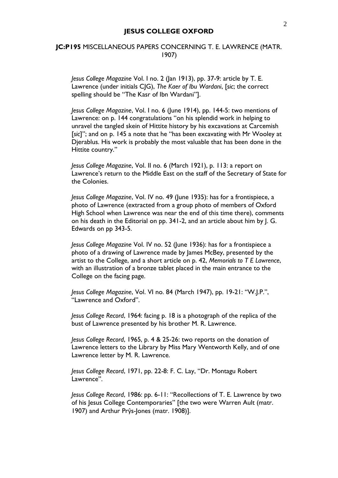## **JC:P195** MISCELLANEOUS PAPERS CONCERNING T. E. LAWRENCE (MATR. 1907)

*Jesus College Magazine* Vol. I no. 2 (Jan 1913), pp. 37-9: article by T. E. Lawrence (under initials CJG), *The Kaer of Ibu Wardani*, [*sic*; the correct spelling should be "The Kasr of Ibn Wardani"].

*Jesus College Magazine*, Vol. I no. 6 (June 1914), pp. 144-5: two mentions of Lawrence: on p. 144 congratulations "on his splendid work in helping to unravel the tangled skein of Hittite history by his excavations at Carcemish [*sic*]"; and on p. 145 a note that he "has been excavating with Mr Wooley at Djerablus. His work is probably the most valuable that has been done in the Hittite country."

*Jesus College Magazine*, Vol. II no. 6 (March 1921), p. 113: a report on Lawrence's return to the Middle East on the staff of the Secretary of State for the Colonies.

*Jesus College Magazine*, Vol. IV no. 49 (June 1935): has for a frontispiece, a photo of Lawrence (extracted from a group photo of members of Oxford High School when Lawrence was near the end of this time there), comments on his death in the Editorial on pp. 341-2, and an article about him by J. G. Edwards on pp 343-5.

*Jesus College Magazine* Vol. IV no. 52 (June 1936): has for a frontispiece a photo of a drawing of Lawrence made by James McBey, presented by the artist to the College, and a short article on p. 42, *Memorials to T E Lawrence*, with an illustration of a bronze tablet placed in the main entrance to the College on the facing page.

*Jesus College Magazine*, Vol. VI no. 84 (March 1947), pp. 19-21: "W.J.P.", "Lawrence and Oxford".

*Jesus College Record*, 1964: facing p. 18 is a photograph of the replica of the bust of Lawrence presented by his brother M. R. Lawrence.

*Jesus College Record*, 1965, p. 4 & 25-26: two reports on the donation of Lawrence letters to the Library by Miss Mary Wentworth Kelly, and of one Lawrence letter by M. R. Lawrence.

*Jesus College Record*, 1971, pp. 22-8: F. C. Lay, "Dr. Montagu Robert Lawrence".

*Jesus College Record*, 1986: pp. 6-11: "Recollections of T. E. Lawrence by two of his Jesus College Contemporaries" [the two were Warren Ault (matr. 1907) and Arthur Prŷs-Jones (matr. 1908)].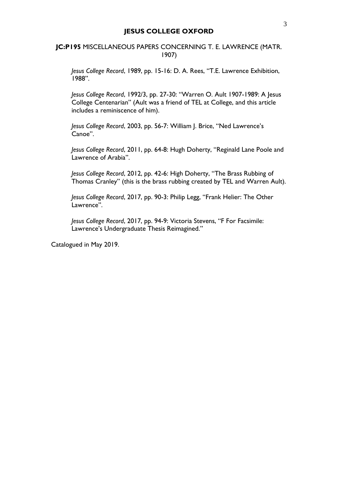## **JC:P195** MISCELLANEOUS PAPERS CONCERNING T. E. LAWRENCE (MATR. 1907)

*Jesus College Record*, 1989, pp. 15-16: D. A. Rees, "T.E. Lawrence Exhibition, 1988".

*Jesus College Record*, 1992/3, pp. 27-30: "Warren O. Ault 1907-1989: A Jesus College Centenarian" (Ault was a friend of TEL at College, and this article includes a reminiscence of him).

*Jesus College Record*, 2003, pp. 56-7: William J. Brice, "Ned Lawrence's Canoe".

*Jesus College Record*, 2011, pp. 64-8: Hugh Doherty, "Reginald Lane Poole and Lawrence of Arabia".

*Jesus College Record*, 2012, pp. 42-6: High Doherty, "The Brass Rubbing of Thomas Cranley" (this is the brass rubbing created by TEL and Warren Ault).

*Jesus College Record*, 2017, pp. 90-3: Philip Legg, "Frank Helier: The Other Lawrence".

*Jesus College Record*, 2017, pp. 94-9: Victoria Stevens, "F For Facsimile: Lawrence's Undergraduate Thesis Reimagined."

Catalogued in May 2019.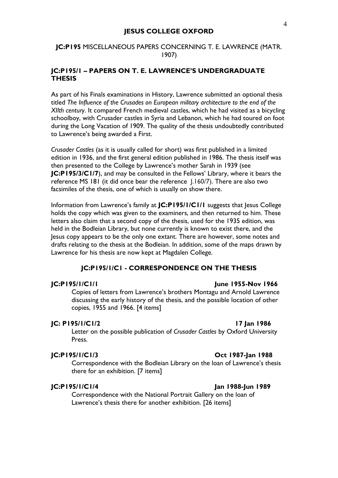## **JC:P195** MISCELLANEOUS PAPERS CONCERNING T. E. LAWRENCE (MATR. 1907)

## **JC:P195/1 – PAPERS ON T. E. LAWRENCE'S UNDERGRADUATE THESIS**

As part of his Finals examinations in History, Lawrence submitted an optional thesis titled *The Influence of the Crusades on European military architecture to the end of the XIIth century*. It compared French medieval castles, which he had visited as a bicycling schoolboy, with Crusader castles in Syria and Lebanon, which he had toured on foot during the Long Vacation of 1909. The quality of the thesis undoubtedly contributed to Lawrence's being awarded a First.

*Crusader Castles* (as it is usually called for short) was first published in a limited edition in 1936, and the first general edition published in 1986. The thesis itself was then presented to the College by Lawrence's mother Sarah in 1939 (see **JC:P195/3/C1/7**), and may be consulted in the Fellows' Library, where it bears the reference MS 181 (it did once bear the reference J.160/7). There are also two facsimiles of the thesis, one of which is usually on show there.

Information from Lawrence's family at **JC:P195/1/C1/1** suggests that Jesus College holds the copy which was given to the examiners, and then returned to him. These letters also claim that a second copy of the thesis, used for the 1935 edition, was held in the Bodleian Library, but none currently is known to exist there, and the Jesus copy appears to be the only one extant. There are however, some notes and drafts relating to the thesis at the Bodleian. In addition, some of the maps drawn by Lawrence for his thesis are now kept at Magdalen College.

### **JC:P195/1/C1 - CORRESPONDENCE ON THE THESIS**

### **JC:P195/1/C1/1 June 1955-Nov 1966**

Copies of letters from Lawrence's brothers Montagu and Arnold Lawrence discussing the early history of the thesis, and the possible location of other copies, 1955 and 1966. [4 items]

## **JC: P195/1/C1/2 17 Jan 1986**

Letter on the possible publication of *Crusader Castles* by Oxford University Press.

## **JC:P195/1/C1/3 Oct 1987-Jan 1988**

Correspondence with the Bodleian Library on the loan of Lawrence's thesis there for an exhibition. [7 items]

### **JC:P195/1/C1/4 Jan 1988-Jun 1989**

Correspondence with the National Portrait Gallery on the loan of Lawrence's thesis there for another exhibition. [26 items]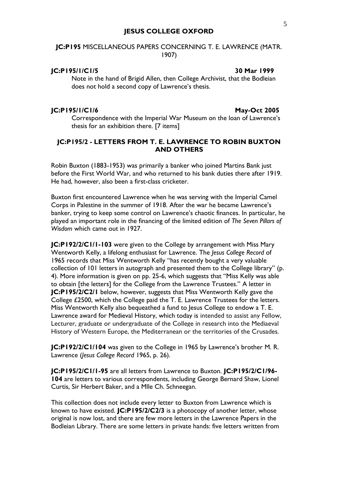## **JC:P195** MISCELLANEOUS PAPERS CONCERNING T. E. LAWRENCE (MATR. 1907)

### **JC:P195/1/C1/5 30 Mar 1999**

Note in the hand of Brigid Allen, then College Archivist, that the Bodleian does not hold a second copy of Lawrence's thesis.

### **JC:P195/1/C1/6 May-Oct 2005**

Correspondence with the Imperial War Museum on the loan of Lawrence's thesis for an exhibition there. [7 items]

## **JC:P195/2 - LETTERS FROM T. E. LAWRENCE TO ROBIN BUXTON AND OTHERS**

Robin Buxton (1883-1953) was primarily a banker who joined Martins Bank just before the First World War, and who returned to his bank duties there after 1919. He had, however, also been a first-class cricketer.

Buxton first encountered Lawrence when he was serving with the Imperial Camel Corps in Palestine in the summer of 1918. After the war he became Lawrence's banker, trying to keep some control on Lawrence's chaotic finances. In particular, he played an important role in the financing of the limited edition of *The Seven Pillars of Wisdom* which came out in 1927.

**JC:P192/2/C1/1-103** were given to the College by arrangement with Miss Mary Wentworth Kelly, a lifelong enthusiast for Lawrence. The *Jesus College Record* of 1965 records that Miss Wentworth Kelly "has recently bought a very valuable collection of 101 letters in autograph and presented them to the College library" (p. 4). More information is given on pp. 25-6, which suggests that "Miss Kelly was able to obtain [the letters] for the College from the Lawrence Trustees." A letter in **JC:P195/2/C2/1** below, however, suggests that Miss Wentworth Kelly gave the College £2500, which the College paid the T. E. Lawrence Trustees for the letters. Miss Wentworth Kelly also bequeathed a fund to Jesus College to endow a T. E. Lawrence award for Medieval History, which today is intended to assist any Fellow, Lecturer, graduate or undergraduate of the College in research into the Mediaeval History of Western Europe, the Mediterranean or the territories of the Crusades.

**JC:P192/2/C1/104** was given to the College in 1965 by Lawrence's brother M. R. Lawrence (*Jesus College Record* 1965, p. 26).

**JC:P195/2/C1/1-95** are all letters from Lawrence to Buxton. **JC:P195/2/C1/96- 104** are letters to various correspondents, including George Bernard Shaw, Lionel Curtis, Sir Herbert Baker, and a Mlle Ch. Schneegan.

This collection does not include every letter to Buxton from Lawrence which is known to have existed. **JC:P195/2/C2/3** is a photocopy of another letter, whose original is now lost, and there are few more letters in the Lawrence Papers in the Bodleian Library. There are some letters in private hands: five letters written from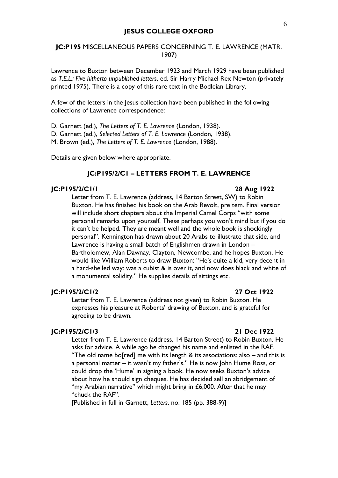## **JC:P195** MISCELLANEOUS PAPERS CONCERNING T. E. LAWRENCE (MATR. 1907)

Lawrence to Buxton between December 1923 and March 1929 have been published as *T.E.L.: Five hitherto unpublished letters*, ed. Sir Harry Michael Rex Newton (privately printed 1975). There is a copy of this rare text in the Bodleian Library.

A few of the letters in the Jesus collection have been published in the following collections of Lawrence correspondence:

D. Garnett (ed.), *The Letters of T. E. Lawrence* (London, 1938).

D. Garnett (ed.), *Selected Letters of T. E. Lawrence* (London, 1938).

M. Brown (ed.), *The Letters of T. E. Lawrence* (London, 1988).

Details are given below where appropriate.

### **JC:P195/2/C1 – LETTERS FROM T. E. LAWRENCE**

### **JC:P195/2/C1/1 28 Aug 1922**

Letter from T. E. Lawrence (address, 14 Barton Street, SW) to Robin Buxton. He has finished his book on the Arab Revolt, pre tem. Final version will include short chapters about the Imperial Camel Corps "with some personal remarks upon yourself. These perhaps you won't mind but if you do it can't be helped. They are meant well and the whole book is shockingly personal". Kennington has drawn about 20 Arabs to illustrate that side, and Lawrence is having a small batch of Englishmen drawn in London – Bartholomew, Alan Dawnay, Clayton, Newcombe, and he hopes Buxton. He would like William Roberts to draw Buxton: "He's quite a kid, very decent in a hard-shelled way: was a cubist & is over it, and now does black and white of a monumental solidity." He supplies details of sittings etc.

## **JC:P195/2/C1/2 27 Oct 1922**

Letter from T. E. Lawrence (address not given) to Robin Buxton. He expresses his pleasure at Roberts' drawing of Buxton, and is grateful for agreeing to be drawn.

### **JC:P195/2/C1/3 21 Dec 1922**

Letter from T. E. Lawrence (address, 14 Barton Street) to Robin Buxton. He asks for advice. A while ago he changed his name and enlisted in the RAF. "The old name bo[red] me with its length & its associations: also – and this is a personal matter – it wasn't my father's." He is now John Hume Ross, or could drop the 'Hume' in signing a book. He now seeks Buxton's advice about how he should sign cheques. He has decided sell an abridgement of "my Arabian narrative" which might bring in  $£6,000$ . After that he may "chuck the RAF".

[Published in full in Garnett, *Letters*, no. 185 (pp. 388-9)]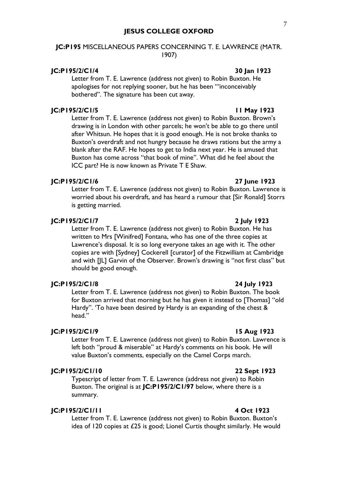## **JC:P195** MISCELLANEOUS PAPERS CONCERNING T. E. LAWRENCE (MATR. 1907)

## **JC:P195/2/C1/4 30 Jan 1923**

Letter from T. E. Lawrence (address not given) to Robin Buxton. He apologises for not replying sooner, but he has been "'inconceivably bothered". The signature has been cut away.

## **JC:P195/2/C1/5 11 May 1923**

Letter from T. E. Lawrence (address not given) to Robin Buxton. Brown's drawing is in London with other parcels; he won't be able to go there until after Whitsun. He hopes that it is good enough. He is not broke thanks to Buxton's overdraft and not hungry because he draws rations but the army a blank after the RAF. He hopes to get to India next year. He is amused that Buxton has come across "that book of mine". What did he feel about the ICC part? He is now known as Private T E Shaw.

### **JC:P195/2/C1/6 27 June 1923**

Letter from T. E. Lawrence (address not given) to Robin Buxton. Lawrence is worried about his overdraft, and has heard a rumour that [Sir Ronald] Storrs is getting married.

## **JC:P195/2/C1/7 2 July 1923**

Letter from T. E. Lawrence (address not given) to Robin Buxton. He has written to Mrs [Winifred] Fontana, who has one of the three copies at Lawrence's disposal. It is so long everyone takes an age with it. The other copies are with [Sydney] Cockerell [curator] of the Fitzwilliam at Cambridge and with [JL] Garvin of the Observer. Brown's drawing is "not first class" but should be good enough.

## **JC:P195/2/C1/8 24 July 1923**

Letter from T. E. Lawrence (address not given) to Robin Buxton. The book for Buxton arrived that morning but he has given it instead to [Thomas] "old Hardy". 'To have been desired by Hardy is an expanding of the chest & head."

### **JC:P195/2/C1/9 15 Aug 1923**

Letter from T. E. Lawrence (address not given) to Robin Buxton. Lawrence is left both "proud & miserable" at Hardy's comments on his book. He will value Buxton's comments, especially on the Camel Corps march.

## **JC:P195/2/C1/10 22 Sept 1923**

Typescript of letter from T. E. Lawrence (address not given) to Robin Buxton. The original is at **JC:P195/2/C1/97** below, where there is a summary.

## **JC:P195/2/C1/11 4 Oct 1923**

Letter from T. E. Lawrence (address not given) to Robin Buxton. Buxton's idea of 120 copies at £25 is good; Lionel Curtis thought similarly. He would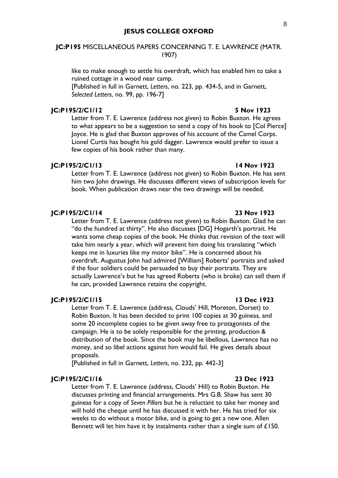## **JC:P195** MISCELLANEOUS PAPERS CONCERNING T. E. LAWRENCE (MATR. 1907)

like to make enough to settle his overdraft, which has enabled him to take a ruined cottage in a wood near camp.

[Published in full in Garnett, *Letters*, no. 223, pp. 434-5, and in Garnett, *Selected Letters*, no. 99, pp. 196-7]

## **JC:P195/2/C1/12 5 Nov 1923**

Letter from T. E. Lawrence (address not given) to Robin Buxton. He agrees to what appears to be a suggestion to send a copy of his book to [Col Pierce] Joyce. He is glad that Buxton approves of his account of the Camel Corps. Lionel Curtis has bought his gold dagger. Lawrence would prefer to issue a few copies of his book rather than many.

### **JC:P195/2/C1/13 14 Nov 1923**

Letter from T. E. Lawrence (address not given) to Robin Buxton. He has sent him two John drawings. He discusses different views of subscription levels for book. When publication draws near the two drawings will be needed.

### **JC:P195/2/C1/14 23 Nov 1923**

Letter from T. E. Lawrence (address not given) to Robin Buxton. Glad he can "do the hundred at thirty". He also discusses [DG] Hogarth's portrait. He wants some cheap copies of the book. He thinks that revision of the text will take him nearly a year, which will prevent him doing his translating "which keeps me in luxuries like my motor bike". He is concerned about his overdraft. Augustus John had admired [William] Roberts' portraits and asked if the four soldiers could be persuaded to buy their portraits. They are actually Lawrence's but he has agreed Roberts (who is broke) can sell them if he can, provided Lawrence retains the copyright.

### **JC:P195/2/C1/15 13 Dec 1923**

Letter from T. E. Lawrence (address, Clouds' Hill, Moreton, Dorset) to Robin Buxton. It has been decided to print 100 copies at 30 guineas, and some 20 incomplete copies to be given away free to protagonists of the campaign. He is to be solely responsible for the printing, production & distribution of the book. Since the book may be libellous, Lawrence has no money, and so libel actions against him would fail. He gives details about proposals.

[Published in full in Garnett, *Letters*, no. 232, pp. 442-3]

### **JC:P195/2/C1/16 23 Dec 1923**

Letter from T. E. Lawrence (address, Clouds' Hill) to Robin Buxton. He discusses printing and financial arrangements. Mrs G.B. Shaw has sent 30 guineas for a copy of *Seven Pillars* but he is reluctant to take her money and will hold the cheque until he has discussed it with her. He has tried for six weeks to do without a motor bike, and is going to get a new one. Allen Bennett will let him have it by instalments rather than a single sum of £150.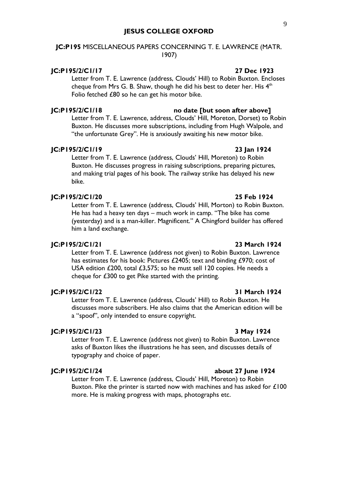## **JC:P195** MISCELLANEOUS PAPERS CONCERNING T. E. LAWRENCE (MATR. 1907)

Folio fetched £80 so he can get his motor bike.

### **JC:P195/2/C1/17 27 Dec 1923**

### **JC:P195/2/C1/18 no date [but soon after above]**

Letter from T. E. Lawrence, address, Clouds' Hill, Moreton, Dorset) to Robin Buxton. He discusses more subscriptions, including from Hugh Walpole, and "the unfortunate Grey". He is anxiously awaiting his new motor bike.

Letter from T. E. Lawrence (address, Clouds' Hill) to Robin Buxton. Encloses cheque from Mrs G. B. Shaw, though he did his best to deter her. His  $4<sup>th</sup>$ 

### **JC:P195/2/C1/19 23 Jan 1924**

Letter from T. E. Lawrence (address, Clouds' Hill, Moreton) to Robin Buxton. He discusses progress in raising subscriptions, preparing pictures, and making trial pages of his book. The railway strike has delayed his new bike.

## **JC:P195/2/C1/20 25 Feb 1924**

Letter from T. E. Lawrence (address, Clouds' Hill, Morton) to Robin Buxton. He has had a heavy ten days – much work in camp. "The bike has come (yesterday) and is a man-killer. Magnificent." A Chingford builder has offered him a land exchange.

## **JC:P195/2/C1/21 23 March 1924**

Letter from T. E. Lawrence (address not given) to Robin Buxton. Lawrence has estimates for his book: Pictures £2405; text and binding £970; cost of USA edition £200, total £3,575; so he must sell 120 copies. He needs a cheque for £300 to get Pike started with the printing.

### **JC:P195/2/C1/22 31 March 1924**

Letter from T. E. Lawrence (address, Clouds' Hill) to Robin Buxton. He discusses more subscribers. He also claims that the American edition will be a "spoof", only intended to ensure copyright.

### **JC:P195/2/C1/23 3 May 1924**

Letter from T. E. Lawrence (address not given) to Robin Buxton. Lawrence asks of Buxton likes the illustrations he has seen, and discusses details of typography and choice of paper.

### **JC:P195/2/C1/24 about 27 June 1924**

Letter from T. E. Lawrence (address, Clouds' Hill, Moreton) to Robin Buxton. Pike the printer is started now with machines and has asked for £100 more. He is making progress with maps, photographs etc.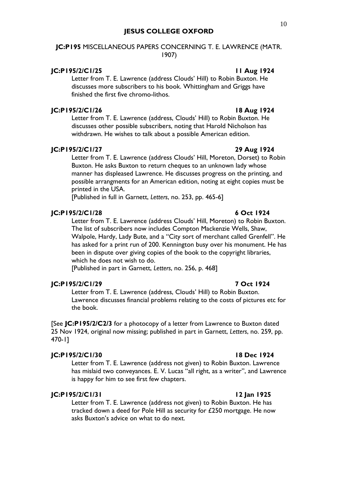## **JC:P195** MISCELLANEOUS PAPERS CONCERNING T. E. LAWRENCE (MATR. 1907)

### **JC:P195/2/C1/25 11 Aug 1924**

## Letter from T. E. Lawrence (address Clouds' Hill) to Robin Buxton. He discusses more subscribers to his book. Whittingham and Griggs have finished the first five chromo-lithos.

## **JC:P195/2/C1/26 18 Aug 1924**

Letter from T. E. Lawrence (address, Clouds' Hill) to Robin Buxton. He discusses other possible subscribers, noting that Harold Nicholson has withdrawn. He wishes to talk about a possible American edition.

## **JC:P195/2/C1/27 29 Aug 1924**

Letter from T. E. Lawrence (address Clouds' Hill, Moreton, Dorset) to Robin Buxton. He asks Buxton to return cheques to an unknown lady whose manner has displeased Lawrence. He discusses progress on the printing, and possible arrangments for an American edition, noting at eight copies must be printed in the USA.

[Published in full in Garnett, *Letters*, no. 253, pp. 465-6]

## **JC:P195/2/C1/28 6 Oct 1924**

Letter from T. E. Lawrence (address Clouds' Hill, Moreton) to Robin Buxton. The list of subscribers now includes Compton Mackenzie Wells, Shaw, Walpole, Hardy, Lady Bute, and a "City sort of merchant called Grenfell". He has asked for a print run of 200. Kennington busy over his monument. He has been in dispute over giving copies of the book to the copyright libraries, which he does not wish to do.

[Published in part in Garnett, *Letters*, no. 256, p. 468]

## **JC:P195/2/C1/29 7 Oct 1924**

Letter from T. E. Lawrence (address, Clouds' Hill) to Robin Buxton. Lawrence discusses financial problems relating to the costs of pictures etc for the book.

[See **JC:P195/2/C2/3** for a photocopy of a letter from Lawrence to Buxton dated 25 Nov 1924, original now missing; published in part in Garnett, *Letters*, no. 259, pp. 470-1]

## **JC:P195/2/C1/30 18 Dec 1924**

Letter from T. E. Lawrence (address not given) to Robin Buxton. Lawrence has mislaid two conveyances. E. V. Lucas "all right, as a writer", and Lawrence is happy for him to see first few chapters.

## **JC:P195/2/C1/31 12 Jan 1925**

Letter from T. E. Lawrence (address not given) to Robin Buxton. He has tracked down a deed for Pole Hill as security for £250 mortgage. He now asks Buxton's advice on what to do next.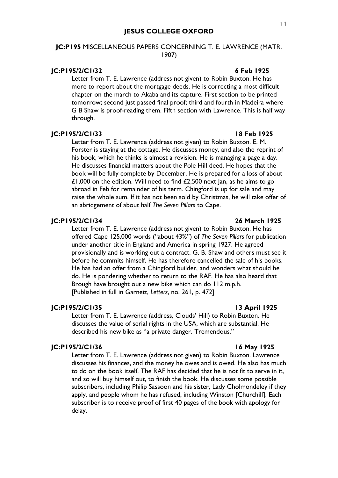## **JC:P195** MISCELLANEOUS PAPERS CONCERNING T. E. LAWRENCE (MATR. 1907)

## **JC:P195/2/C1/32 6 Feb 1925**

Letter from T. E. Lawrence (address not given) to Robin Buxton. He has more to report about the mortgage deeds. He is correcting a most difficult chapter on the march to Akaba and its capture. First section to be printed tomorrow; second just passed final proof; third and fourth in Madeira where G B Shaw is proof-reading them. Fifth section with Lawrence. This is half way through.

## **JC:P195/2/C1/33 18 Feb 1925**

Letter from T. E. Lawrence (address not given) to Robin Buxton. E. M. Forster is staying at the cottage. He discusses money, and also the reprint of his book, which he thinks is almost a revision. He is managing a page a day. He discusses financial matters about the Pole Hill deed. He hopes that the book will be fully complete by December. He is prepared for a loss of about £1,000 on the edition. Will need to find  $£2,500$  next  $|an|$ , as he aims to go abroad in Feb for remainder of his term. Chingford is up for sale and may raise the whole sum. If it has not been sold by Christmas, he will take offer of an abridgement of about half *The Seven Pillars* to Cape.

## **JC:P195/2/C1/34 26 March 1925**

Letter from T. E. Lawrence (address not given) to Robin Buxton. He has offered Cape 125,000 words ("about 43%") of *The Seven Pillars* for publication under another title in England and America in spring 1927. He agreed provisionally and is working out a contract. G. B. Shaw and others must see it before he commits himself. He has therefore cancelled the sale of his books. He has had an offer from a Chingford builder, and wonders what should he do. He is pondering whether to return to the RAF. He has also heard that Brough have brought out a new bike which can do 112 m.p.h. [Published in full in Garnett, *Letters*, no. 261, p. 472]

## **JC:P195/2/C1/35 13 April 1925**

Letter from T. E. Lawrence (address, Clouds' Hill) to Robin Buxton. He discusses the value of serial rights in the USA, which are substantial. He described his new bike as "a private danger. Tremendous."

### **JC:P195/2/C1/36 16 May 1925**

Letter from T. E. Lawrence (address not given) to Robin Buxton. Lawrence discusses his finances, and the money he owes and is owed. He also has much to do on the book itself. The RAF has decided that he is not fit to serve in it, and so will buy himself out, to finish the book. He discusses some possible subscribers, including Philip Sassoon and his sister, Lady Cholmondeley if they apply, and people whom he has refused, including Winston [Churchill]. Each subscriber is to receive proof of first 40 pages of the book with apology for delay.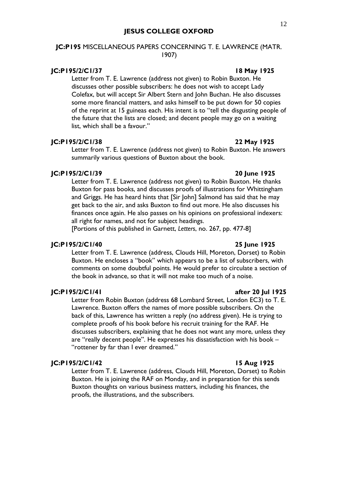## **JC:P195** MISCELLANEOUS PAPERS CONCERNING T. E. LAWRENCE (MATR. 1907)

## **JC:P195/2/C1/37 18 May 1925**

Letter from T. E. Lawrence (address not given) to Robin Buxton. He discusses other possible subscribers: he does not wish to accept Lady Colefax, but will accept Sir Albert Stern and John Buchan. He also discusses some more financial matters, and asks himself to be put down for 50 copies of the reprint at 15 guineas each. His intent is to "tell the disgusting people of the future that the lists are closed; and decent people may go on a waiting list, which shall be a favour."

### **JC:P195/2/C1/38 22 May 1925**

Letter from T. E. Lawrence (address not given) to Robin Buxton. He answers summarily various questions of Buxton about the book.

## **JC:P195/2/C1/39 20 June 1925**

Letter from T. E. Lawrence (address not given) to Robin Buxton. He thanks Buxton for pass books, and discusses proofs of illustrations for Whittingham and Griggs. He has heard hints that [Sir John] Salmond has said that he may get back to the air, and asks Buxton to find out more. He also discusses his finances once again. He also passes on his opinions on professional indexers: all right for names, and not for subject headings.

[Portions of this published in Garnett, *Letters*, no. 267, pp. 477-8]

### **JC:P195/2/C1/40 25 June 1925**

Letter from T. E. Lawrence (address, Clouds Hill, Moreton, Dorset) to Robin Buxton. He encloses a "book" which appears to be a list of subscribers, with comments on some doubtful points. He would prefer to circulate a section of the book in advance, so that it will not make too much of a noise.

### **JC:P195/2/C1/41 after 20 Jul 1925**

Letter from Robin Buxton (address 68 Lombard Street, London EC3) to T. E. Lawrence. Buxton offers the names of more possible subscribers. On the back of this, Lawrence has written a reply (no address given). He is trying to complete proofs of his book before his recruit training for the RAF. He discusses subscribers, explaining that he does not want any more, unless they are "really decent people". He expresses his dissatisfaction with his book – "rottener by far than I ever dreamed."

## **JC:P195/2/C1/42 15 Aug 1925**

Letter from T. E. Lawrence (address, Clouds Hill, Moreton, Dorset) to Robin Buxton. He is joining the RAF on Monday, and in preparation for this sends Buxton thoughts on various business matters, including his finances, the proofs, the illustrations, and the subscribers.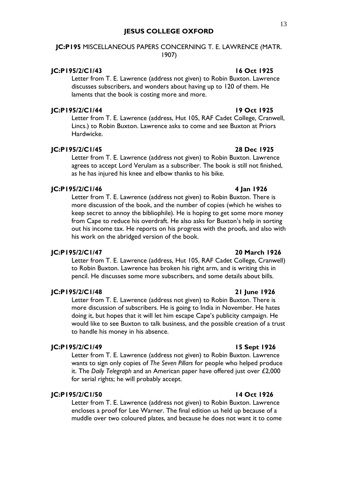## **JC:P195** MISCELLANEOUS PAPERS CONCERNING T. E. LAWRENCE (MATR. 1907)

### **JC:P195/2/C1/43 16 Oct 1925**

Letter from T. E. Lawrence (address not given) to Robin Buxton. Lawrence discusses subscribers, and wonders about having up to 120 of them. He laments that the book is costing more and more.

### **JC:P195/2/C1/44 19 Oct 1925**

Letter from T. E. Lawrence (address, Hut 105, RAF Cadet College, Cranwell, Lincs.) to Robin Buxton. Lawrence asks to come and see Buxton at Priors Hardwicke.

## **JC:P195/2/C1/45 28 Dec 1925**

Letter from T. E. Lawrence (address not given) to Robin Buxton. Lawrence agrees to accept Lord Verulam as a subscriber. The book is still not finished, as he has injured his knee and elbow thanks to his bike.

## **JC:P195/2/C1/46 4 Jan 1926**

Letter from T. E. Lawrence (address not given) to Robin Buxton. There is more discussion of the book, and the number of copies (which he wishes to keep secret to annoy the bibliophile). He is hoping to get some more money from Cape to reduce his overdraft. He also asks for Buxton's help in sorting out his income tax. He reports on his progress with the proofs, and also with his work on the abridged version of the book.

## **JC:P195/2/C1/47 20 March 1926**

Letter from T. E. Lawrence (address, Hut 105, RAF Cadet College, Cranwell) to Robin Buxton. Lawrence has broken his right arm, and is writing this in pencil. He discusses some more subscribers, and some details about bills.

### **JC:P195/2/C1/48 21 June 1926**

Letter from T. E. Lawrence (address not given) to Robin Buxton. There is more discussion of subscribers. He is going to India in November. He hates doing it, but hopes that it will let him escape Cape's publicity campaign. He would like to see Buxton to talk business, and the possible creation of a trust to handle his money in his absence.

### **JC:P195/2/C1/49 15 Sept 1926**

Letter from T. E. Lawrence (address not given) to Robin Buxton. Lawrence wants to sign only copies of *The Seven Pillars* for people who helped produce it. The *Daily Telegraph* and an American paper have offered just over £2,000 for serial rights; he will probably accept.

## **JC:P195/2/C1/50 14 Oct 1926**

Letter from T. E. Lawrence (address not given) to Robin Buxton. Lawrence encloses a proof for Lee Warner. The final edition us held up because of a muddle over two coloured plates, and because he does not want it to come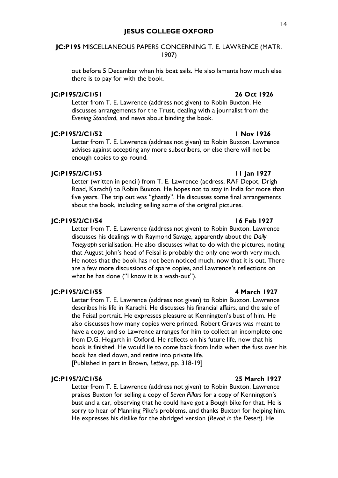## **JC:P195** MISCELLANEOUS PAPERS CONCERNING T. E. LAWRENCE (MATR. 1907)

out before 5 December when his boat sails. He also laments how much else there is to pay for with the book.

### **JC:P195/2/C1/51 26 Oct 1926**

Letter from T. E. Lawrence (address not given) to Robin Buxton. He discusses arrangements for the Trust, dealing with a journalist from the *Evening Standard*, and news about binding the book.

## **JC:P195/2/C1/52 1 Nov 1926**

Letter from T. E. Lawrence (address not given) to Robin Buxton. Lawrence advises against accepting any more subscribers, or else there will not be enough copies to go round.

### **JC:P195/2/C1/53 11 Jan 1927**

Letter (written in pencil) from T. E. Lawrence (address, RAF Depot, Drigh Road, Karachi) to Robin Buxton. He hopes not to stay in India for more than five years. The trip out was "ghastly". He discusses some final arrangements about the book, including selling some of the original pictures.

## **JC:P195/2/C1/54 16 Feb 1927**

Letter from T. E. Lawrence (address not given) to Robin Buxton. Lawrence discusses his dealings with Raymond Savage, apparently about the *Daily Telegraph* serialisation. He also discusses what to do with the pictures, noting that August John's head of Feisal is probably the only one worth very much. He notes that the book has not been noticed much, now that it is out. There are a few more discussions of spare copies, and Lawrence's reflections on what he has done ("I know it is a wash-out").

## **JC:P195/2/C1/55 4 March 1927**

Letter from T. E. Lawrence (address not given) to Robin Buxton. Lawrence describes his life in Karachi. He discusses his financial affairs, and the sale of the Feisal portrait. He expresses pleasure at Kennington's bust of him. He also discusses how many copies were printed. Robert Graves was meant to have a copy, and so Lawrence arranges for him to collect an incomplete one from D.G. Hogarth in Oxford. He reflects on his future life, now that his book is finished. He would lie to come back from India when the fuss over his book has died down, and retire into private life.

[Published in part in Brown, *Letters*, pp. 318-19]

## **JC:P195/2/C1/56 25 March 1927**

Letter from T. E. Lawrence (address not given) to Robin Buxton. Lawrence praises Buxton for selling a copy of *Seven Pillars* for a copy of Kennington's bust and a car, observing that he could have got a Bough bike for that. He is sorry to hear of Manning Pike's problems, and thanks Buxton for helping him. He expresses his dislike for the abridged version (*Revolt in the Desert*). He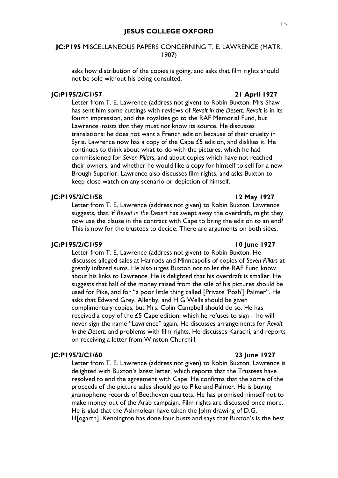## **JC:P195** MISCELLANEOUS PAPERS CONCERNING T. E. LAWRENCE (MATR. 1907)

asks how distribution of the copies is going, and asks that film rights should not be sold without his being consulted.

### **JC:P195/2/C1/57 21 April 1927**

Letter from T. E. Lawrence (address not given) to Robin Buxton. Mrs Shaw has sent him some cuttings with reviews of *Revolt in the Desert*. *Revolt* is in its fourth impression, and the royalties go to the RAF Memorial Fund, but Lawrence insists that they must not know its source. He discusses translations: he does not want a French edition because of their cruelty in Syria. Lawrence now has a copy of the Cape £5 edition, and dislikes it. He continues to think about what to do with the pictures, which he had commissioned for *Seven Pillars*, and about copies which have not reached their owners, and whether he would like a copy for himself to sell for a new Brough Superior. Lawrence also discusses film rights, and asks Buxton to keep close watch on any scenario or depiction of himself.

### **JC:P195/2/C1/58 12 May 1927**

Letter from T. E. Lawrence (address not given) to Robin Buxton. Lawrence suggests, that, if *Revolt in the Desert* has swept away the overdraft, might they now use the clause in the contract with Cape to bring the edition to an end? This is now for the trustees to decide. There are arguments on both sides.

## **JC:P195/2/C1/59 10 June 1927**

Letter from T. E. Lawrence (address not given) to Robin Buxton. He discusses alleged sales at Harrods and Minneapolis of copies of *Seven Pillars* at greatly inflated sums. He also urges Buxton not to let the RAF Fund know about his links to Lawrence. He is delighted that his overdraft is smaller. He suggests that half of the money raised from the sale of his pictures should be used for Pike, and for "a poor little thing called [Private 'Posh'] Palmer". He asks that Edward Grey, Allenby, and H G Wells should be given complimentary copies, but Mrs. Colin Campbell should do so. He has received a copy of the  $£5$  Cape edition, which he refuses to sign – he will never sign the name "Lawrence" again. He discusses arrangements for *Revolt in the Desert*, and problems with film rights. He discusses Karachi, and reports on receiving a letter from Winston Churchill.

### **JC:P195/2/C1/60 23 June 1927**

Letter from T. E. Lawrence (address not given) to Robin Buxton. Lawrence is delighted with Buxton's latest letter, which reports that the Trustees have resolved to end the agreement with Cape. He confirms that the some of the proceeds of the picture sales should go to Pike and Palmer. He is buying gramophone records of Beethoven quartets. He has promised himself not to make money out of the Arab campaign. Film rights are discussed once more. He is glad that the Ashmolean have taken the John drawing of D.G. H[ogarth]. Kennington has done four busts and says that Buxton's is the best.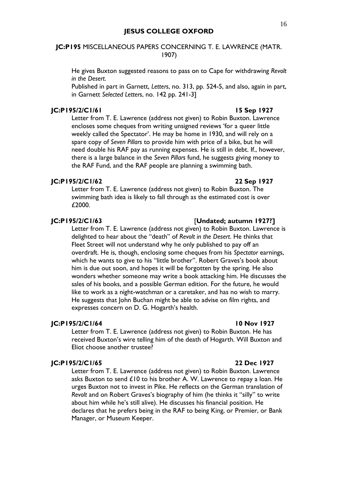## **JC:P195** MISCELLANEOUS PAPERS CONCERNING T. E. LAWRENCE (MATR. 1907)

He gives Buxton suggested reasons to pass on to Cape for withdrawing *Revolt in the Desert*.

Published in part in Garnett, *Letters*, no. 313, pp. 524-5, and also, again in part, in Garnett *Selected Letters*, no. 142 pp. 241-3]

## **JC:P195/2/C1/61 15 Sep 1927**

Letter from T. E. Lawrence (address not given) to Robin Buxton. Lawrence encloses some cheques from writing unsigned reviews 'for a queer little weekly called the Spectator'. He may be home in 1930, and will rely on a spare copy of *Seven Pillars* to provide him with price of a bike, but he will need double his RAF pay as running expenses. He is still in debt. If., however, there is a large balance in the *Seven Pillars* fund, he suggests giving money to the RAF Fund, and the RAF people are planning a swimming bath.

### **JC:P195/2/C1/62 22 Sep 1927**

Letter from T. E. Lawrence (address not given) to Robin Buxton. The swimming bath idea is likely to fall through as the estimated cost is over £2000.

## **JC:P195/2/C1/63** [**Undated; autumn 1927?]**

Letter from T. E. Lawrence (address not given) to Robin Buxton. Lawrence is delighted to hear about the "death" of *Revolt in the Desert*. He thinks that Fleet Street will not understand why he only published to pay off an overdraft. He is, though, enclosing some cheques from his *Spectator* earnings, which he wants to give to his "little brother". Robert Graves's book about him is due out soon, and hopes it will be forgotten by the spring. He also wonders whether someone may write a book attacking him. He discusses the sales of his books, and a possible German edition. For the future, he would like to work as a night-watchman or a caretaker, and has no wish to marry. He suggests that John Buchan might be able to advise on film rights, and expresses concern on D. G. Hogarth's health.

## **JC:P195/2/C1/64 10 Nov 1927**

Letter from T. E. Lawrence (address not given) to Robin Buxton. He has received Buxton's wire telling him of the death of Hogarth. Will Buxton and Eliot choose another trustee?

## **JC:P195/2/C1/65 22 Dec 1927**

Letter from T. E. Lawrence (address not given) to Robin Buxton. Lawrence asks Buxton to send £10 to his brother A. W. Lawrence to repay a loan. He urges Buxton not to invest in Pike. He reflects on the German translation of *Revolt* and on Robert Graves's biography of him (he thinks it "silly" to write about him while he's still alive). He discusses his financial position. He declares that he prefers being in the RAF to being King, or Premier, or Bank Manager, or Museum Keeper.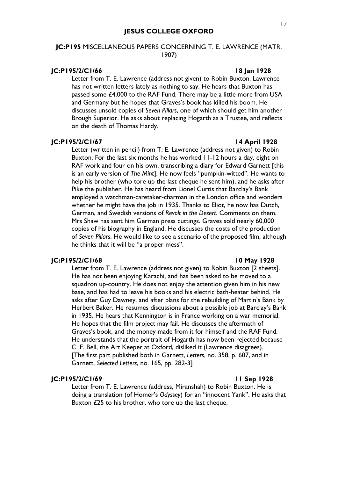## **JC:P195** MISCELLANEOUS PAPERS CONCERNING T. E. LAWRENCE (MATR. 1907)

## **JC:P195/2/C1/66 18 Jan 1928**

Letter from T. E. Lawrence (address not given) to Robin Buxton. Lawrence has not written letters lately as nothing to say. He hears that Buxton has passed some £4,000 to the RAF Fund. There may be a little more from USA and Germany but he hopes that Graves's book has killed his boom. He discusses unsold copies of *Seven Pillars*, one of which should get him another Brough Superior. He asks about replacing Hogarth as a Trustee, and reflects on the death of Thomas Hardy.

### **JC:P195/2/C1/67 14 April 1928**

Letter (written in pencil) from T. E. Lawrence (address not given) to Robin Buxton. For the last six months he has worked 11-12 hours a day, eight on RAF work and four on his own, transcribing a diary for Edward Garnett [this is an early version of *The Mint*]. He now feels "pumpkin-witted". He wants to help his brother (who tore up the last cheque he sent him), and he asks after Pike the publisher. He has heard from Lionel Curtis that Barclay's Bank employed a watchman-caretaker-charman in the London office and wonders whether he might have the job in 1935. Thanks to Eliot, he now has Dutch, German, and Swedish versions of *Revolt in the Desert*. Comments on them. Mrs Shaw has sent him German press cuttings. Graves sold nearly 60,000 copies of his biography in England. He discusses the costs of the production of *Seven Pillars*. He would like to see a scenario of the proposed film, although he thinks that it will be "a proper mess".

## **JC:P195/2/C1/68 10 May 1928**

Letter from T. E. Lawrence (address not given) to Robin Buxton [2 sheets]. He has not been enjoying Karachi, and has been asked to be moved to a squadron up-country. He does not enjoy the attention given him in his new base, and has had to leave his books and his electric bath-heater behind. He asks after Guy Dawney, and after plans for the rebuilding of Martin's Bank by Herbert Baker. He resumes discussions about a possible job at Barclay's Bank in 1935. He hears that Kennington is in France working on a war memorial. He hopes that the film project may fail. He discusses the aftermath of Graves's book, and the money made from it for himself and the RAF Fund. He understands that the portrait of Hogarth has now been rejected because C. F. Bell, the Art Keeper at Oxford, disliked it (Lawrence disagrees). [The first part published both in Garnett, *Letters*, no. 358, p. 607, and in Garnett, *Selected Letters*, no. 165, pp. 282-3]

## **JC:P195/2/C1/69 11 Sep 1928**

Letter from T. E. Lawrence (address, Miranshah) to Robin Buxton. He is doing a translation (of Homer's *Odyssey*) for an "innocent Yank". He asks that Buxton £25 to his brother, who tore up the last cheque.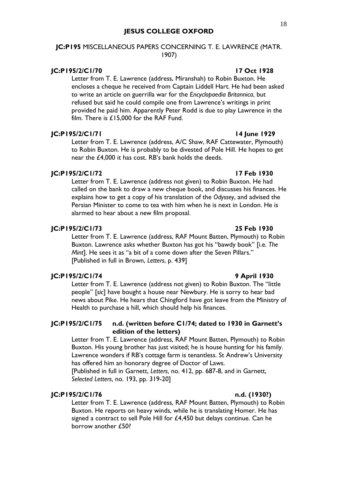## **JC:P195** MISCELLANEOUS PAPERS CONCERNING T. E. LAWRENCE (MATR. 1907)

## **JC:P195/2/C1/70 17 Oct 1928**

Letter from T. E. Lawrence (address, Miranshah) to Robin Buxton. He encloses a cheque he received from Captain Liddell Hart. He had been asked to write an article on guerrilla war for the *Encyclopaedia Britannica*, but refused but said he could compile one from Lawrence's writings in print provided he paid him. Apparently Peter Rodd is due to play Lawrence in the film. There is £15,000 for the RAF Fund.

## **JC:P195/2/C1/71 14 June 1929**

Letter from T. E. Lawrence (address, A/C Shaw, RAF Cattewater, Plymouth) to Robin Buxton. He is probably to be divested of Pole Hill. He hopes to get near the £4,000 it has cost. RB's bank holds the deeds.

## **JC:P195/2/C1/72 17 Feb 1930**

Letter from T. E. Lawrence (address not given) to Robin Buxton. He had called on the bank to draw a new cheque book, and discusses his finances. He explains how to get a copy of his translation of the *Odyssey*, and advised the Persian Minister to come to tea with him when he is next in London. He is alarmed to hear about a new film proposal.

## **JC:P195/2/C1/73 25 Feb 1930**

Letter from T. E. Lawrence (address, RAF Mount Batten, Plymouth) to Robin Buxton. Lawrence asks whether Buxton has got his "bawdy book" [i.e. *The Mint*]. He sees it as "a bit of a come down after the Seven Pillars." [Published in full in Brown, *Letters*, p. 439]

## **JC:P195/2/C1/74 9 April 1930**

Letter from T. E. Lawrence (address not given) to Robin Buxton. The "little people" [*sic*] have bought a house near Newbury. He is sorry to hear bad news about Pike. He hears that Chingford have got leave from the Ministry of Health to purchase a hill, which should help his finances.

## **JC:P195/2/C1/75 n.d. (written before C1/74; dated to 1930 in Garnett's edition of the letters)**

Letter from T. E. Lawrence (address, RAF Mount Batten, Plymouth) to Robin Buxton. His young brother has just visited; he is house hunting for his family. Lawrence wonders if RB's cottage farm is tenantless. St Andrew's University has offered him an honorary degree of Doctor of Laws.

[Published in full in Garnett, *Letters*, no. 412, pp. 687-8, and in Garnett, *Selected Letters*, no. 193, pp. 319-20]

## **JC:P195/2/C1/76 n.d. (1930?)**

Letter from T. E. Lawrence (address, RAF Mount Batten, Plymouth) to Robin Buxton. He reports on heavy winds, while he is translating Homer. He has signed a contract to sell Pole Hill for £4,450 but delays continue. Can he borrow another £50?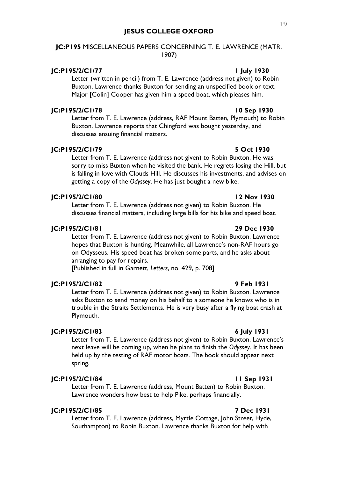## **JC:P195** MISCELLANEOUS PAPERS CONCERNING T. E. LAWRENCE (MATR. 1907)

### **JC:P195/2/C1/77 1 July 1930**

Letter (written in pencil) from T. E. Lawrence (address not given) to Robin Buxton. Lawrence thanks Buxton for sending an unspecified book or text. Major [Colin] Cooper has given him a speed boat, which pleases him.

## **JC:P195/2/C1/78 10 Sep 1930**

Letter from T. E. Lawrence (address, RAF Mount Batten, Plymouth) to Robin Buxton. Lawrence reports that Chingford was bought yesterday, and discusses ensuing financial matters.

## **JC:P195/2/C1/79 5 Oct 1930**

Letter from T. E. Lawrence (address not given) to Robin Buxton. He was sorry to miss Buxton when he visited the bank. He regrets losing the Hill, but is falling in love with Clouds Hill. He discusses his investments, and advises on getting a copy of the *Odyssey*. He has just bought a new bike.

## **JC:P195/2/C1/80 12 Nov 1930**

Letter from T. E. Lawrence (address not given) to Robin Buxton. He discusses financial matters, including large bills for his bike and speed boat.

## **JC:P195/2/C1/81 29 Dec 1930**

Letter from T. E. Lawrence (address not given) to Robin Buxton. Lawrence hopes that Buxton is hunting. Meanwhile, all Lawrence's non-RAF hours go on Odysseus. His speed boat has broken some parts, and he asks about arranging to pay for repairs.

[Published in full in Garnett, *Letters*, no. 429, p. 708]

### **JC:P195/2/C1/82 9 Feb 1931**

Letter from T. E. Lawrence (address not given) to Robin Buxton. Lawrence asks Buxton to send money on his behalf to a someone he knows who is in trouble in the Straits Settlements. He is very busy after a flying boat crash at Plymouth.

### **JC:P195/2/C1/83 6 July 1931**

Letter from T. E. Lawrence (address not given) to Robin Buxton. Lawrence's next leave will be coming up, when he plans to finish the *Odyssey*. It has been held up by the testing of RAF motor boats. The book should appear next spring.

### **JC:P195/2/C1/84 11 Sep 1931**

Letter from T. E. Lawrence (address, Mount Batten) to Robin Buxton. Lawrence wonders how best to help Pike, perhaps financially.

## **JC:P195/2/C1/85 7 Dec 1931**

Letter from T. E. Lawrence (address, Myrtle Cottage, John Street, Hyde, Southampton) to Robin Buxton. Lawrence thanks Buxton for help with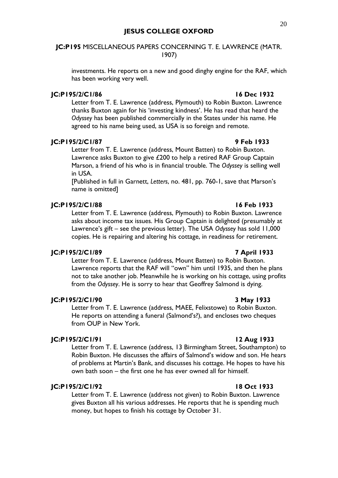## **JC:P195** MISCELLANEOUS PAPERS CONCERNING T. E. LAWRENCE (MATR. 1907)

investments. He reports on a new and good dinghy engine for the RAF, which has been working very well.

## **JC:P195/2/C1/86 16 Dec 1932**

Letter from T. E. Lawrence (address, Plymouth) to Robin Buxton. Lawrence thanks Buxton again for his 'investing kindness'. He has read that heard the *Odyssey* has been published commercially in the States under his name. He agreed to his name being used, as USA is so foreign and remote.

## **JC:P195/2/C1/87 9 Feb 1933**

Letter from T. E. Lawrence (address, Mount Batten) to Robin Buxton. Lawrence asks Buxton to give £200 to help a retired RAF Group Captain Marson, a friend of his who is in financial trouble. The *Odyssey* is selling well in USA.

[Published in full in Garnett, *Letters*, no. 481, pp. 760-1, save that Marson's name is omitted]

### **JC:P195/2/C1/88 16 Feb 1933**

Letter from T. E. Lawrence (address, Plymouth) to Robin Buxton. Lawrence asks about income tax issues. His Group Captain is delighted (presumably at Lawrence's gift – see the previous letter). The USA *Odyssey* has sold 11,000 copies. He is repairing and altering his cottage, in readiness for retirement.

## **JC:P195/2/C1/89 7 April 1933**

Letter from T. E. Lawrence (address, Mount Batten) to Robin Buxton. Lawrence reports that the RAF will "own" him until 1935, and then he plans not to take another job. Meanwhile he is working on his cottage, using profits from the *Odyssey*. He is sorry to hear that Geoffrey Salmond is dying.

## **JC:P195/2/C1/90 3 May 1933**

Letter from T. E. Lawrence (address, MAEE, Felixstowe) to Robin Buxton. He reports on attending a funeral (Salmond's?), and encloses two cheques from OUP in New York.

### **JC:P195/2/C1/91 12 Aug 1933**

Letter from T. E. Lawrence (address, 13 Birmingham Street, Southampton) to Robin Buxton. He discusses the affairs of Salmond's widow and son. He hears of problems at Martin's Bank, and discusses his cottage. He hopes to have his own bath soon – the first one he has ever owned all for himself.

## **JC:P195/2/C1/92 18 Oct 1933**

Letter from T. E. Lawrence (address not given) to Robin Buxton. Lawrence gives Buxton all his various addresses. He reports that he is spending much money, but hopes to finish his cottage by October 31.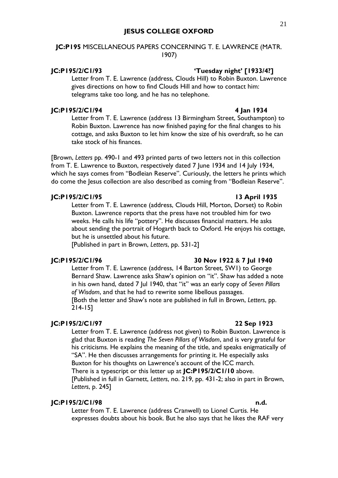## **JC:P195** MISCELLANEOUS PAPERS CONCERNING T. E. LAWRENCE (MATR. 1907)

### **JC:P195/2/C1/93 'Tuesday night' [1933/4?]**

Letter from T. E. Lawrence (address, Clouds Hill) to Robin Buxton. Lawrence gives directions on how to find Clouds Hill and how to contact him: telegrams take too long, and he has no telephone.

### **JC:P195/2/C1/94 4 Jan 1934**

## Letter from T. E. Lawrence (address 13 Birmingham Street, Southampton) to Robin Buxton. Lawrence has now finished paying for the final changes to his cottage, and asks Buxton to let him know the size of his overdraft, so he can take stock of his finances.

[Brown, *Letters* pp. 490-1 and 493 printed parts of two letters not in this collection from T. E. Lawrence to Buxton, respectively dated 7 June 1934 and 14 July 1934, which he says comes from "Bodleian Reserve". Curiously, the letters he prints which do come the Jesus collection are also described as coming from "Bodleian Reserve".

### **JC:P195/2/C1/95 13 April 1935**

Letter from T. E. Lawrence (address, Clouds Hill, Morton, Dorset) to Robin Buxton. Lawrence reports that the press have not troubled him for two weeks. He calls his life "pottery". He discusses financial matters. He asks about sending the portrait of Hogarth back to Oxford. He enjoys his cottage, but he is unsettled about his future.

[Published in part in Brown, *Letters*, pp. 531-2]

## **JC:P195/2/C1/96 30 Nov 1922** & **7 Jul 1940**

## Letter from T. E. Lawrence (address, 14 Barton Street, SW1) to George Bernard Shaw. Lawrence asks Shaw's opinion on "it". Shaw has added a note in his own hand, dated 7 Jul 1940, that "it" was an early copy of *Seven Pillars of Wisdom*, and that he had to rewrite some libellous passages. [Both the letter and Shaw's note are published in full in Brown, *Letters*, pp. 214-15]

## **JC:P195/2/C1/97 22 Sep 1923**

Letter from T. E. Lawrence (address not given) to Robin Buxton. Lawrence is glad that Buxton is reading *The Seven Pillars of Wisdom*, and is very grateful for his criticisms. He explains the meaning of the title, and speaks enigmatically of "SA". He then discusses arrangements for printing it. He especially asks Buxton for his thoughts on Lawrence's account of the ICC march. There is a typescript or this letter up at **JC:P195/2/C1/10** above. [Published in full in Garnett, *Letters*, no. 219, pp. 431-2; also in part in Brown, *Letters*, p. 245]

## **JC:P195/2/C1/98 n.d.**

Letter from T. E. Lawrence (address Cranwell) to Lionel Curtis. He expresses doubts about his book. But he also says that he likes the RAF very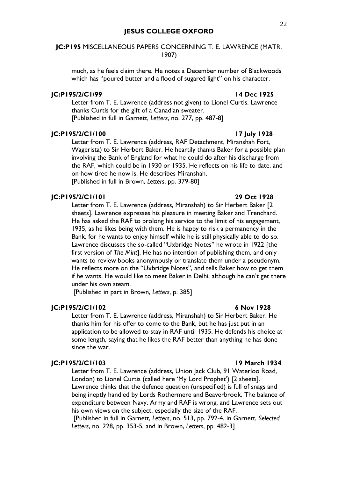## **JC:P195** MISCELLANEOUS PAPERS CONCERNING T. E. LAWRENCE (MATR. 1907)

much, as he feels claim there. He notes a December number of Blackwoods which has "poured butter and a flood of sugared light" on his character.

### **JC:P195/2/C1/99 14 Dec 1925**

Letter from T. E. Lawrence (address not given) to Lionel Curtis. Lawrence thanks Curtis for the gift of a Canadian sweater. [Published in full in Garnett, *Letters*, no. 277, pp. 487-8]

## **JC:P195/2/C1/100 17 July 1928**

Letter from T. E. Lawrence (address, RAF Detachment, Miranshah Fort, Wagerista) to Sir Herbert Baker. He heartily thanks Baker for a possible plan involving the Bank of England for what he could do after his discharge from the RAF, which could be in 1930 or 1935. He reflects on his life to date, and on how tired he now is. He describes Miranshah. [Published in full in Brown, *Letters*, pp. 379-80]

## **JC:P195/2/C1/101 29 Oct 1928**

Letter from T. E. Lawrence (address, Miranshah) to Sir Herbert Baker [2 sheets]. Lawrence expresses his pleasure in meeting Baker and Trenchard. He has asked the RAF to prolong his service to the limit of his engagement, 1935, as he likes being with them. He is happy to risk a permanency in the Bank, for he wants to enjoy himself while he is still physically able to do so. Lawrence discusses the so-called "Uxbridge Notes" he wrote in 1922 [the first version of *The Mint*]. He has no intention of publishing them, and only wants to review books anonymously or translate them under a pseudonym. He reflects more on the "Uxbridge Notes", and tells Baker how to get them if he wants. He would like to meet Baker in Delhi, although he can't get there under his own steam.

[Published in part in Brown, *Letters*, p. 385]

### **JC:P195/2/C1/102 6 Nov 1928**

Letter from T. E. Lawrence (address, Miranshah) to Sir Herbert Baker. He thanks him for his offer to come to the Bank, but he has just put in an application to be allowed to stay in RAF until 1935. He defends his choice at some length, saying that he likes the RAF better than anything he has done since the war.

## **JC:P195/2/C1/103 19 March 1934**

Letter from T. E. Lawrence (address, Union Jack Club, 91 Waterloo Road, London) to Lionel Curtis (called here 'My Lord Prophet') [2 sheets]. Lawrence thinks that the defence question (unspecified) is full of snags and being ineptly handled by Lords Rothermere and Beaverbrook. The balance of expenditure between Navy, Army and RAF is wrong, and Lawrence sets out his own views on the subject, especially the size of the RAF.

[Published in full in Garnett, *Letters*, no. 513, pp. 792-4, in Garnett, *Selected Letters*, no. 228, pp. 353-5, and in Brown, *Letters*, pp. 482-3]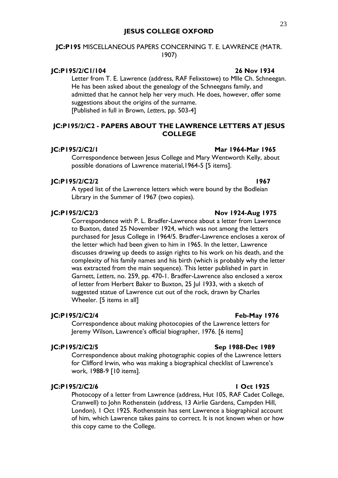## **JC:P195** MISCELLANEOUS PAPERS CONCERNING T. E. LAWRENCE (MATR. 1907)

## **JC:P195/2/C1/104 26 Nov 1934**

Letter from T. E. Lawrence (address, RAF Felixstowe) to Mlle Ch. Schneegan. He has been asked about the genealogy of the Schneegans family, and admitted that he cannot help her very much. He does, however, offer some suggestions about the origins of the surname. [Published in full in Brown, *Letters*, pp. 503-4]

## **JC:P195/2/C2 - PAPERS ABOUT THE LAWRENCE LETTERS AT JESUS COLLEGE**

### **JC:P195/2/C2/1 Mar 1964-Mar 1965**

Correspondence between Jesus College and Mary Wentworth Kelly, about possible donations of Lawrence material,1964-5 [5 items].

### **JC:P195/2/C2/2 1967**

A typed list of the Lawrence letters which were bound by the Bodleian Library in the Summer of 1967 (two copies).

### **JC:P195/2/C2/3 Nov 1924-Aug 1975**

Correspondence with P. L. Bradfer-Lawrence about a letter from Lawrence to Buxton, dated 25 November 1924, which was not among the letters purchased for Jesus College in 1964/5. Bradfer-Lawrence encloses a xerox of the letter which had been given to him in 1965. In the letter, Lawrence discusses drawing up deeds to assign rights to his work on his death, and the complexity of his family names and his birth (which is probably why the letter was extracted from the main sequence). This letter published in part in Garnett, *Letters*, no. 259, pp. 470-1. Bradfer-Lawrence also enclosed a xerox of letter from Herbert Baker to Buxton, 25 Jul 1933, with a sketch of suggested statue of Lawrence cut out of the rock, drawn by Charles Wheeler. [5 items in all]

## **JC:P195/2/C2/4 Feb-May 1976**

Correspondence about making photocopies of the Lawrence letters for Jeremy Wilson, Lawrence's official biographer, 1976. [6 items]

## **JC:P195/2/C2/5 Sep 1988-Dec 1989**

Correspondence about making photographic copies of the Lawrence letters for Clifford Irwin, who was making a biographical checklist of Lawrence's work, 1988-9 [10 items].

## **JC:P195/2/C2/6 1 Oct 1925**

Photocopy of a letter from Lawrence (address, Hut 105, RAF Cadet College, Cranwell) to John Rothenstein (address, 13 Airlie Gardens, Campden Hill, London), 1 Oct 1925. Rothenstein has sent Lawrence a biographical account of him, which Lawrence takes pains to correct. It is not known when or how this copy came to the College.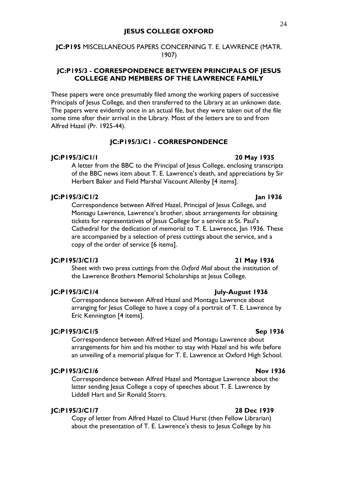## **JC:P195** MISCELLANEOUS PAPERS CONCERNING T. E. LAWRENCE (MATR. 1907)

## **JC:P195/3 - CORRESPONDENCE BETWEEN PRINCIPALS OF JESUS COLLEGE AND MEMBERS OF THE LAWRENCE FAMILY**

These papers were once presumably filed among the working papers of successive Principals of Jesus College, and then transferred to the Library at an unknown date. The papers were evidently once in an actual file, but they were taken out of the file some time after their arrival in the Library. Most of the letters are to and from Alfred Hazel (Pr. 1925-44).

### **JC:P195/3/C1 - CORRESPONDENCE**

### **JC:P195/3/C1/1 20 May 1935**

A letter from the BBC to the Principal of Jesus College, enclosing transcripts of the BBC news item about T. E. Lawrence's death, and appreciations by Sir Herbert Baker and Field Marshal Viscount Allenby [4 items].

## **JC:P195/3/C1/2 Jan 1936**

Correspondence between Alfred Hazel, Principal of Jesus College, and Montagu Lawrence, Lawrence's brother, about arrangements for obtaining tickets for representatives of Jesus College for a service at St. Paul's Cathedral for the dedication of memorial to T. E. Lawrence, Jan 1936. These are accompanied by a selection of press cuttings about the service, and a copy of the order of service [6 items].

### **JC:P195/3/C1/3 21 May 1936**

Sheet with two press cuttings from the *Oxford Mail* about the institution of the Lawrence Brothers Memorial Scholarships at Jesus College.

### **JC:P195/3/C1/4 July-August 1936**

Correspondence between Alfred Hazel and Montagu Lawrence about arranging for Jesus College to have a copy of a portrait of T. E. Lawrence by Eric Kennington [4 items].

### **JC:P195/3/C1/5 Sep 1936**

Correspondence between Alfred Hazel and Montagu Lawrence about arrangements for him and his mother to stay with Hazel and his wife before an unveiling of a memorial plaque for T. E. Lawrence at Oxford High School.

### **JC:P195/3/C1/6 Nov 1936**

Correspondence between Alfred Hazel and Montague Lawrence about the latter sending Jesus College a copy of speeches about T. E. Lawrence by Liddell Hart and Sir Ronald Storrs.

## **JC:P195/3/C1/7 28 Dec 1939**

Copy of letter from Alfred Hazel to Claud Hurst (then Fellow Librarian) about the presentation of T. E. Lawrence's thesis to Jesus College by his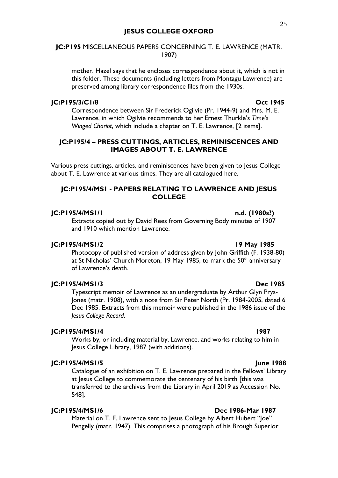## **JC:P195** MISCELLANEOUS PAPERS CONCERNING T. E. LAWRENCE (MATR. 1907)

mother. Hazel says that he encloses correspondence about it, which is not in this folder. These documents (including letters from Montagu Lawrence) are preserved among library correspondence files from the 1930s.

### **JC:P195/3/C1/8 Oct 1945**

## Correspondence between Sir Frederick Ogilvie (Pr. 1944-9) and Mrs. M. E. Lawrence, in which Ogilvie recommends to her Ernest Thurkle's *Time's Winged Chariot*, which include a chapter on T. E. Lawrence, [2 items].

## **JC:P195/4 – PRESS CUTTINGS, ARTICLES, REMINISCENCES AND IMAGES ABOUT T. E. LAWRENCE**

Various press cuttings, articles, and reminiscences have been given to Jesus College about T. E. Lawrence at various times. They are all catalogued here.

## **JC:P195/4/MS1 - PAPERS RELATING TO LAWRENCE AND JESUS COLLEGE**

### **JC:P195/4/MS1/1 n.d. (1980s?)**

Extracts copied out by David Rees from Governing Body minutes of 1907 and 1910 which mention Lawrence.

### **JC:P195/4/MS1/2 19 May 1985**

Photocopy of published version of address given by John Griffith (F. 1938-80) at St Nicholas' Church Moreton, 19 May 1985, to mark the  $50<sup>th</sup>$  anniversary of Lawrence's death.

## **JC:P195/4/MS1/3 Dec 1985**

Typescript memoir of Lawrence as an undergraduate by Arthur Glyn Prys-Jones (matr. 1908), with a note from Sir Peter North (Pr. 1984-2005, dated 6 Dec 1985. Extracts from this memoir were published in the 1986 issue of the *Jesus College Record*.

### **JC:P195/4/MS1/4 1987**

Works by, or including material by, Lawrence, and works relating to him in Jesus College Library, 1987 (with additions).

## **JC:P195/4/MS1/5 June 1988**

Catalogue of an exhibition on T. E. Lawrence prepared in the Fellows' Library at Jesus College to commemorate the centenary of his birth [this was transferred to the archives from the Library in April 2019 as Accession No. 548].

## **JC:P195/4/MS1/6 Dec 1986-Mar 1987**

Material on T. E. Lawrence sent to Jesus College by Albert Hubert "Joe" Pengelly (matr. 1947). This comprises a photograph of his Brough Superior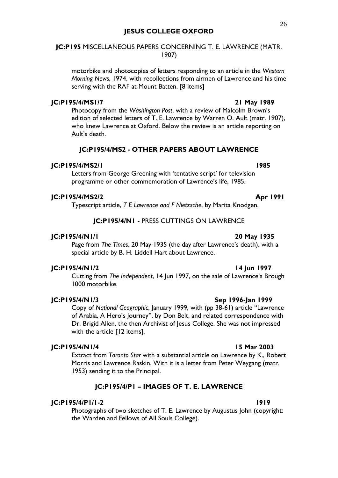## **JC:P195** MISCELLANEOUS PAPERS CONCERNING T. E. LAWRENCE (MATR. 1907)

motorbike and photocopies of letters responding to an article in the *Western Morning News*, 1974, with recollections from airmen of Lawrence and his time serving with the RAF at Mount Batten. [8 items]

## **JC:P195/4/MS1/7 21 May 1989**

Photocopy from the *Washington Post*, with a review of Malcolm Brown's edition of selected letters of T. E. Lawrence by Warren O. Ault (matr. 1907), who knew Lawrence at Oxford. Below the review is an article reporting on Ault's death.

### **JC:P195/4/MS2 - OTHER PAPERS ABOUT LAWRENCE**

### **JC:P195/4/MS2/1 1985**

Letters from George Greening with 'tentative script' for television programme or other commemoration of Lawrence's life, 1985.

## **JC:P195/4/MS2/2 Apr 1991**

Typescript article, *T E Lawrence and F Nietzsche*, by Marita Knodgen.

### **JC:P195/4/N1 -** PRESS CUTTINGS ON LAWRENCE

### **JC:P195/4/N1/1 20 May 1935**

Page from *The Times*, 20 May 1935 (the day after Lawrence's death), with a special article by B. H. Liddell Hart about Lawrence.

### **JC:P195/4/N1/2 14 Jun 1997**

Cutting from *The Independent*, 14 Jun 1997, on the sale of Lawrence's Brough 1000 motorbike.

### **JC:P195/4/N1/3 Sep 1996-Jan 1999**

Copy of *National Geographic*, January 1999, with (pp 38-61) article "Lawrence of Arabia, A Hero's Journey", by Don Belt, and related correspondence with Dr. Brigid Allen, the then Archivist of Jesus College. She was not impressed with the article [12 items].

## **JC:P195/4/N1/4 15 Mar 2003**

Extract from *Toronto Star* with a substantial article on Lawrence by K., Robert Morris and Lawrence Raskin. With it is a letter from Peter Weygang (matr. 1953) sending it to the Principal.

### **JC:P195/4/P1 – IMAGES OF T. E. LAWRENCE**

## **JC:P195/4/P1/1-2 1919**

Photographs of two sketches of T. E. Lawrence by Augustus John (copyright: the Warden and Fellows of All Souls College).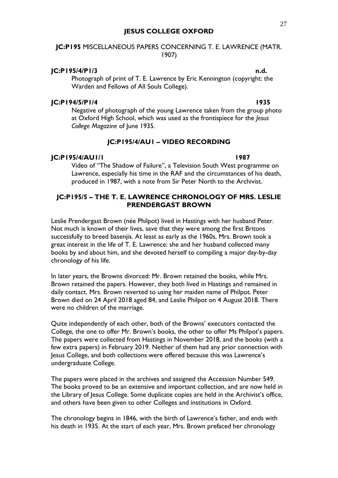## **JC:P195** MISCELLANEOUS PAPERS CONCERNING T. E. LAWRENCE (MATR. 1907)

## **JC:P195/4/P1/3 n.d.**

Photograph of print of T. E. Lawrence by Eric Kennington (copyright: the Warden and Fellows of All Souls College).

## **JC:P194/5/P1/4 1935**

Negative of photograph of the young Lawrence taken from the group photo at Oxford High School, which was used as the frontispiece for the *Jesus College Magazine* of June 1935.

## **JC:P195/4/AU1 – VIDEO RECORDING**

### **JC:P195/4/AU1/1 1987**

Video of "The Shadow of Failure", a Television South West programme on Lawrence, especially his time in the RAF and the circumstances of his death, produced in 1987, with a note from Sir Peter North to the Archivist.

## **JC:P195/5 – THE T. E. LAWRENCE CHRONOLOGY OF MRS. LESLIE PRENDERGAST BROWN**

Leslie Prendergast Brown (née Philpot) lived in Hastings with her husband Peter. Not much is known of their lives, save that they were among the first Britons successfully to breed basenjis. At least as early as the 1960s, Mrs. Brown took a great interest in the life of T. E. Lawrence: she and her husband collected many books by and about him, and she devoted herself to compiling a major day-by-day chronology of his life.

In later years, the Browns divorced: Mr. Brown retained the books, while Mrs. Brown retained the papers. However, they both lived in Hastings and remained in daily contact. Mrs. Brown reverted to using her maiden name of Philpot. Peter Brown died on 24 April 2018 aged 84, and Leslie Philpot on 4 August 2018. There were no children of the marriage.

Quite independently of each other, both of the Browns' executors contacted the College, the one to offer Mr. Brown's books, the other to offer Ms Philpot's papers. The papers were collected from Hastings in November 2018, and the books (with a few extra papers) in February 2019. Neither of them had any prior connection with Jesus College, and both collections were offered because this was Lawrence's undergraduate College.

The papers were placed in the archives and assigned the Accession Number 549. The books proved to be an extensive and important collection, and are now held in the Library of Jesus College. Some duplicate copies are held in the Archivist's office, and others have been given to other Colleges and institutions in Oxford.

The chronology begins in 1846, with the birth of Lawrence's father, and ends with his death in 1935. At the start of each year, Mrs. Brown prefaced her chronology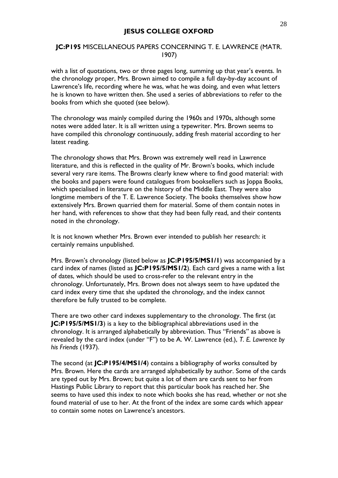## **JC:P195** MISCELLANEOUS PAPERS CONCERNING T. E. LAWRENCE (MATR. 1907)

with a list of quotations, two or three pages long, summing up that year's events. In the chronology proper, Mrs. Brown aimed to compile a full day-by-day account of Lawrence's life, recording where he was, what he was doing, and even what letters he is known to have written then. She used a series of abbreviations to refer to the books from which she quoted (see below).

The chronology was mainly compiled during the 1960s and 1970s, although some notes were added later. It is all written using a typewriter. Mrs. Brown seems to have compiled this chronology continuously, adding fresh material according to her latest reading.

The chronology shows that Mrs. Brown was extremely well read in Lawrence literature, and this is reflected in the quality of Mr. Brown's books, which include several very rare items. The Browns clearly knew where to find good material: with the books and papers were found catalogues from booksellers such as Joppa Books, which specialised in literature on the history of the Middle East. They were also longtime members of the T. E. Lawrence Society. The books themselves show how extensively Mrs. Brown quarried them for material. Some of them contain notes in her hand, with references to show that they had been fully read, and their contents noted in the chronology.

It is not known whether Mrs. Brown ever intended to publish her research: it certainly remains unpublished.

Mrs. Brown's chronology (listed below as **JC:P195/5/MS1/1**) was accompanied by a card index of names (listed as **JC:P195/5/MS1/2**). Each card gives a name with a list of dates, which should be used to cross-refer to the relevant entry in the chronology. Unfortunately, Mrs. Brown does not always seem to have updated the card index every time that she updated the chronology, and the index cannot therefore be fully trusted to be complete.

There are two other card indexes supplementary to the chronology. The first (at **JC:P195/5/MS1/3**) is a key to the bibliographical abbreviations used in the chronology. It is arranged alphabetically by abbreviation. Thus "Friends" as above is revealed by the card index (under "F") to be A. W. Lawrence (ed.), *T. E. Lawrence by his Friends* (1937).

The second (at **JC:P195/4/MS1/4**) contains a bibliography of works consulted by Mrs. Brown. Here the cards are arranged alphabetically by author. Some of the cards are typed out by Mrs. Brown; but quite a lot of them are cards sent to her from Hastings Public Library to report that this particular book has reached her. She seems to have used this index to note which books she has read, whether or not she found material of use to her. At the front of the index are some cards which appear to contain some notes on Lawrence's ancestors.